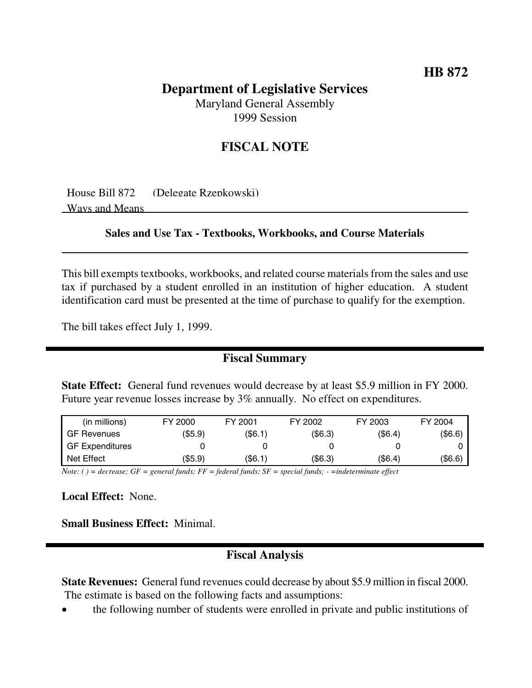# **Department of Legislative Services**

Maryland General Assembly 1999 Session

## **FISCAL NOTE**

House Bill 872 (Delegate Rzepkowski) Ways and Means

#### **Sales and Use Tax - Textbooks, Workbooks, and Course Materials**

This bill exempts textbooks, workbooks, and related course materials from the sales and use tax if purchased by a student enrolled in an institution of higher education. A student identification card must be presented at the time of purchase to qualify for the exemption.

The bill takes effect July 1, 1999.

### **Fiscal Summary**

**State Effect:** General fund revenues would decrease by at least \$5.9 million in FY 2000. Future year revenue losses increase by 3% annually. No effect on expenditures.

| (in millions)          | FY 2000                        | FY 2001       | FY 2002 | FY 2003 | FY 2004 |
|------------------------|--------------------------------|---------------|---------|---------|---------|
| <b>GF Revenues</b>     | (\$5.9)                        | $($ \$6.1)    | (\$6.3) | (\$6.4) | (\$6.6) |
| <b>GF Expenditures</b> |                                |               |         |         |         |
| Net Effect             | (\$5.9)                        | (S6.1)        | (\$6.3) | (\$6.4) | (\$6.6) |
| $\mathbf{v}$<br>$-$    | $\sim$ $\sim$<br>$\sim$ $\sim$ | $\sim$ $\sim$ |         |         |         |

Note: () = decrease; GF = general funds; FF = federal funds; SF = special funds; - = indeterminate effect

**Local Effect:** None.

**Small Business Effect:** Minimal.

### **Fiscal Analysis**

**State Revenues:** General fund revenues could decrease by about \$5.9 million in fiscal 2000. The estimate is based on the following facts and assumptions:

• the following number of students were enrolled in private and public institutions of